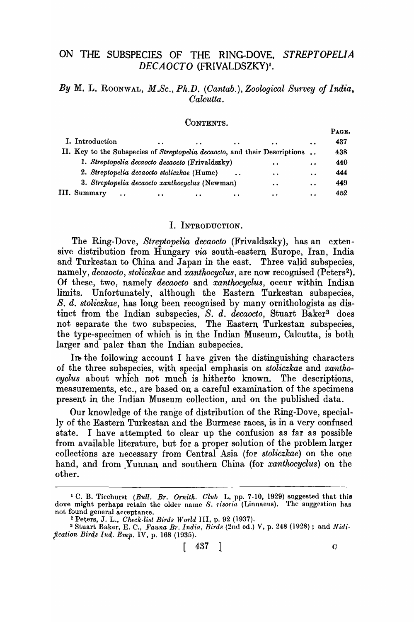# ON THE SUBSPECIES OF THE RING-DOVE, STREPTOPELIA DECAOCTO (FRIVALDSZKY)<sup>1</sup>.

## *By* M. L. RooNwAL, *M.Sc.) Ph.D. (Cantab.), Zoological Survey of India, Calcutta.*

### CONTENTS.

|                                                                             |           |           |                     |                      | r au E. |
|-----------------------------------------------------------------------------|-----------|-----------|---------------------|----------------------|---------|
| I. Introduction<br>$\bullet$                                                | $\bullet$ | $\bullet$ | $\bullet$           | $\cdot$ .            | 437     |
| II. Key to the Subspecies of Streptopelia decaocto, and their Descriptions. |           |           |                     |                      | 438     |
| 1. Streptopelia decaocto decaocto (Frivaldszky)                             |           |           | . .                 | $\ddot{\phantom{a}}$ | 440     |
| 2. Streptopelia decaocto stoliczkae (Hume)                                  |           |           | $\cdot \cdot$       | $\ddot{\phantom{0}}$ | 444     |
| 3. Streptopelia decaocto xanthocyclus (Newman)                              |           |           | $\bullet$ $\bullet$ | $\ddot{\phantom{a}}$ | 449     |
| III. Summary<br>$\bullet$                                                   |           |           | . .                 |                      | 452     |

### I. INTRODUCTION.

The Ring-Dove, *Streptopelia decaocto* (Frivaldszky), has an extensive distribution from Hungary *via* south -eastern Europe, Iran, India and Turkestan to China and Japan in the east. Three valid subspecies, namely, *decaocto*, *stoliczkae* and *xanthocyclus*, are now recognised (Peters<sup>2</sup>). Of these, two, namely *decaocto* and *xanthocyclus,* occur within Indian limits. Unfortunately, although the Eastern Turkestan subspecies, *S. d. stoliczkae,* has long been recognised by many ornithologists as distinct from the Indian subspecies, *S. d. decaocto*, Stuart Baker<sup>3</sup> does not separate the two subspecies. The Eastern Turkestan subspecies, the type-specimen of which is in the Indian Museum, Calcutta, is both larger and paler than the Indian subspecies.

In the following account I have given the distinguishing characters of the three subspecies, with special emphasis on *stoliczkae* and *xanthocyclus* about which not much is hitherto known. The descriptions, measurements, etc., are based on a careful examination of the specimens present in the Indian Museum collection, and on the published data.

Our knowledge of the range of distribution of the Ring-Dove, specially of the Eastern Turkestan and the Burmese races, is in a very confused state. J have attempted to clear up the confusion as far as possible from available literature, but for a proper solution of the problem larger collections are necessary from Central Asia (for *stoliczkae*) on the one hand, and from Yunnan and southern China (for *xanthocyclus*) on the other.

 $D \cdot \alpha_B$ 

<sup>&</sup>lt;sup>1</sup> C. B. Ticehurst *(Bull. Br. Ornith. Club L, pp. 7-10, 1929)* suggested that this dove might perhaps retain the older name S. *risoria* (Linnaeus). The suggestion has not found general acceptance.

<sup>&</sup>lt;sup>2</sup> Peters, J. L., *Check-list Birds World III*, p. 92 (1937).<br><sup>3</sup> Stuart Baker, E. C., *Fauna Br. India, Birds* (2nd ed.) V, p. 248 (1928); and *Nidi*-*Jication Bir4s Ini(. Emp.* IV, p. 168 (1935).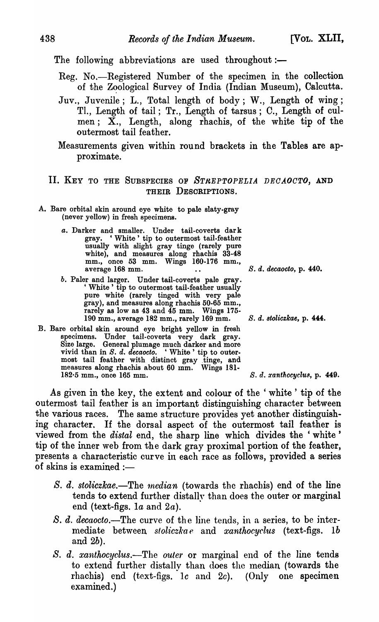The following abbreviations are used throughout: $-$ 

- Reg. No.—Registered Number of the specimen in the collection of the Zoological Survey of India (Indian Museum), Calcutta.
- Juv., Juvenile; L., Total length of body; W., Length of wing; Tl., Length of tail; Tr., Length of tarsus; C., Length of culmen;  $X_{n}$ , Length, along rhachis, of the white tip of the outermost tail feather.
- Measurements given within round brackets in the Tables are approximate.

# II. KEY TO THE SUBSPECIES OF *STREPTOPELIA DECAOCTO*, AND THEIR DESCRIPTIONS.

- A. Bare orbital skin around eye white to pale slaty-gray (never yellow) in fresh specimens.
	- *a.* Darker and smaller. Under tail-coverts dar k gray. 'White' tip to outermost tail-feather usually with slight gray tinge (rarely pure white), and measures along rhachis 33-48 mm., once 53 mm. Wings 160-176 mm., average 168 mm. *S. d. decaooto,* p. 440.
	- *b.* Paler and larger. Under tail-coverts pale gray. <br>
	'White' tip to outermost tail-feather usually pure white (rarely tinged with very pale gray), and measures along rhachis 50-65 mm., rarely as low as 43 and 45 mm. Wings 175- 190 mm., average 182 mm., rarely 169 mm. S. d. *8toliczkae,* p. 444.
- B. Bare orbital skin around eye bright yellow in fresh specimens. Under tail-coverts very dark gray. Size large. General plumage much darker and more vivid than in *S. d. decaocto.* 'White' tip to outermost tail feather with distinct gray tinge, and measures along rhachis about 60 mm. Wings 181· 182'5 mm., once 165 mm. S. d. *xanthocyclu8,* p. 449.

As given in the key, the extent and colour of the ' white' tip of the outermost tail feather is an important distinguishing character between the various races. The same structure provides yet another distinguishing character. If the dorsal aspect of the outermost tail feather is viewed from the *distal* end, the sharp line which divides the 'white' tip of the inner web from the dark gray proximal portion of the feather, presents a characteristic curve in each race as follows, provided a series of skins is examined  $:$ 

- *S. d. stoliczkae.*—The *median* (towards the rhachis) end of the line tends to extend further distally than does the outer or marginal end (text-figs.  $1a$  and  $2a$ ).
- *S. d. decaocto.*—The curve of the line tends, in a series, to be intermediate between *sloliczkae* and *xanthocyclus* (text-figs. Ib and 2b).
- *S. d. xanthocyclus.-The outer* or marginal end of the line tends to extend further distally than does the median (towards the rhachis) end (text-figs. 1c and 2c). (Only one specimen examined.)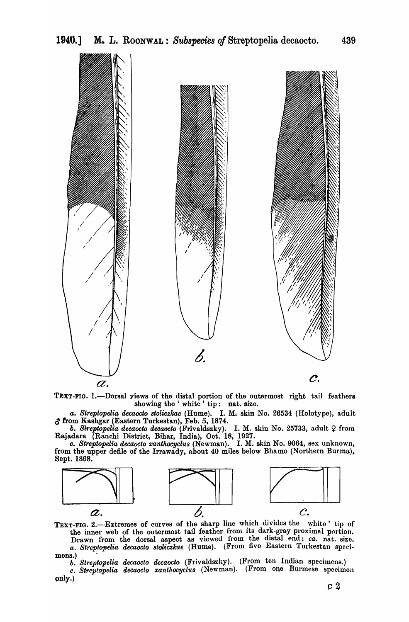

TEXT-FIG. 1.-Dorsal yiews of the distal portion of the outermost right tail feathers showing the 'white' tip: nat. size.

*a. Streptopelia. decaocto 8toliczkae* (Hume). I. M. skin No. 26534 (Holotype), adult  $\delta$  from Kashgar (Eastern Turkestan), Feb. 5, 1874.

**b.** Streptopelia decaocto decaocto (Frivaldszky). I. M. skin No. 25733, adult  $\varphi$  from Rajadara (Ranchi District, Bihar, India), Oct. 18, 1927.

o. *Streptopelia decaocto xanthocyclu8(Newman).* I. M. skin No. 9064, sex unknown, from the upper defile of the Irrawady, about 40 miles below Bhamo (Northern Burma), Sept. 1868.



TEXT-FIG. 2.-Extremes of curves of the sharp line which divides the white' tip of the inner web of the outermost tail feather from its dark-gray proximal portion. Drawn from the dorsal aspect as viewed from the distal end: *ca.* nat. size.

*a. St-rept&pelia decaocto 8toliczkae* (Hume). (From five Eastern Turkestan speci. mons.)

*b. Streptopelia decaocto decaocto* (Frivaldszky). (From ten Indian specimens.) *c. Strel)fopelia decaocto xantllocyclu8* (Newman). (From one Burmese specimon only.)  $\qquad \qquad \qquad \qquad c \; 2$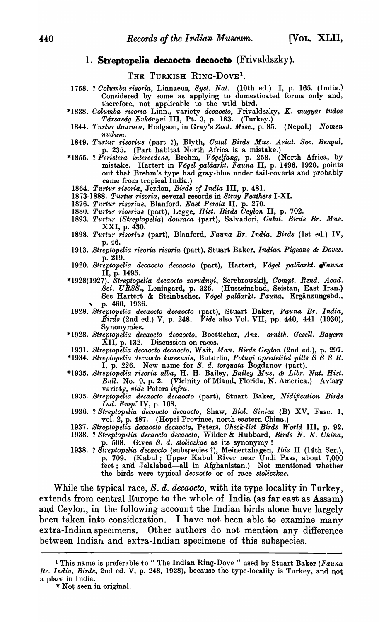## 1. **Streptopelia decaocto decaocto** (Frivaldszky).

### THE TURKISH RING-DOVE<sup>1</sup>.

- 1758. ? *Columba risoria,* Linnaeus, *8yst. Nat.* (lOth ed.) I, p. 165. (India.') Considered by some as applying to domesticated forms only and, therefore, not applicable to the wild bird.
- \*1838. Columba risoria Linn., variety decaocto, Frivaldszky, *K. magyar tudos Tarsasag EvkOnyvi* III, Pt. 3, p. 183. (Turkey.)
- *1844. T'ltrtur douraca,* IIodgson, in Gray's *Zool. Misc.,* p. 85. (Nepal.) *Nomen nudum.*
- *1849. Turtur risorius* (part ?), Blyth, *Oatal Birds Mus. Asiat.* Soo. *Bengal,*  p. 235. (Part habitat North Africa is a mistake.)
- \*1855. ? *Peristera intercedens,* Brehm, *V6gelfang,* p. 258. (North Africa, by mistake. Hartert in *Vogel paliiarkt. Fauna* II, p. 1496, 1920, points out that Brehm's type had gray-blue under tail-coverts and probably came from tropical India.)
	- *1864. Turtur risoria,* Jerdon, *Birds of India* III, p. 481.
- *1873-1888. Turtur risoria,* several records in *Stray Feathers* I-XI.
- *1876. Tu,rtur risorius,* Blanford, *East Persia* II, p. 270.
- *1880. Turt'ur riosrius* (part), Legge, *Hist. Birds Ceylon* II, p. 702.
- *1893. Turtur (8treptopelia) dourar.a* (part), Salvadori, *Catal. Birds Br. Mus.*  XXI, p. 430.
- *1898. Turtur risorius* (part), Blanford, *Fauna Br. India. Birds* (1st ed.) IV, p.46.
- 1913. Streptopelia risoria risoria (part), Stuart Baker, *Indian Pigeons & Doves*. p.219.
- *1920. Streptopelia decaocto decaocto* (part), Rartert., J! *agel paliiarlct. tl'auna*  II, p. 1495.
- *\*1928(1927). Streptopelia decaocto zarOOnyi,* Serebrowskij, *Oompt. Rend. Acad. Sci. U RSS.,* Leningard, p. 326. (Husseinabad, Seistan, East Iran.) See Hartert & Steinbacher, Vogel paläarkt. Fauna, Ergänzungsbd., <sup>~</sup>p. 460, 1936.
- *1928. Streptopelia decaocto decaocto* (part), Stuart Baker, *Fauna Br. India, Birds* (2nd ed.) V, p. 248. *Vide* also Vol. VII, pp. 440, 441 (1930), Synonymies.
- *\*1928. Streptopelia decaocto decaocto,* Boetticher, *Anz. ornith .. Gesell. Bayent*  Discussion on races.
- 1931. *Streptopelia decaocto decaocio,* Wait, *Man. Birds Oeylon* (2nd ed.), p. 297.
- *\*1934. Streptopelia decaocto koreensis,* Buturlin, *Polnyi opredeUtel pitt8 S S S R.* 
	- I, p. 226. New name for *S. d. torquata* Bogdanov (part).
- *\*]935. St1'eptopelia risoria alba,* H. H. Bailey, *Bailey Mus.* '" *Libr. Nnt. Hist.*   $\hat{B} \nu l \hat{l}$ . No. 9, p. 2. (Vicinity of Miami, Florida, N. America.) Aviary variety, *vide* Peters *infra.*
- *1935. Streptopelia decaoclo decaocto* (part), Stuart Baker, *Nidification Birds Ind. Emp:* IV, p. 168.
- 1936. ? *Streptopelia decoocto decaocto*, Shaw, *Biol. Sinica* (B) XV, Fasc. 1, vol. 2, p. 487. (Hopei Province, north-eastern China.)
- 1937. Streptopelia decaocto decaocto, Peters, *Check-list Birds World* III, p. 92.
- 1938. ? *Streptopelia decaocto decaocto,* \\Tilder & Hubbard, *Birds N. E. Ohina,*  p. 508. Gives *S. d. stoliczkae* as its synonymy!
- 1938. ? *Streptopelia decaocto* (subspecies ?), Meinertzhagen, *Ibis II* (14th Ser.), p. 709. (Kabul; Upper Kabul River near Undi Pass, about 7,000 fect; and Jelalabad-all in Afghanistan.) Not mentioned whether the birds were typical *decaocto* or of race *stoliczkae*.

While the typical race, S. d. *decaocto,* with its type locality in Turkey, extends from central Europe to the whole of India (as far east as Assam) and Ceylon, in the following account the Indian birds alone have largely been taken into consideration. I have not been able to examine many extra-Indian specimens. Other authors do not mention any difference between Indian. and extra-Indian specimens of this subspecies.

<sup>&</sup>lt;sup>1</sup> This name is preferable to " The Indian Ring-Dove " used by Stuart Baker (Fauna Br. India, Birds, 2nd ed. V, p. 248, 1928), because the type-locality is Turkey, and not a place in India.

<sup>•</sup> Not qeen in original.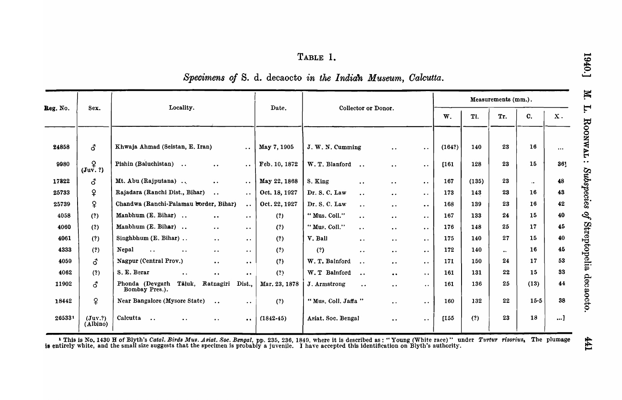# TABLE 1.

| Specimens of S. d. decaocto in the Indian Museum, Calcutta. |  |  |  |  |  |  |  |  |  |
|-------------------------------------------------------------|--|--|--|--|--|--|--|--|--|
|-------------------------------------------------------------|--|--|--|--|--|--|--|--|--|

|          |                        |                                                      |                                              |                       |               |                                        |           | Measurements (mm.).       |                        |         |       |                    |                  |               |
|----------|------------------------|------------------------------------------------------|----------------------------------------------|-----------------------|---------------|----------------------------------------|-----------|---------------------------|------------------------|---------|-------|--------------------|------------------|---------------|
| Reg. No. | Sex.                   | Locality.                                            |                                              |                       | Date.         | Collector or Donor.                    |           |                           |                        | W.      | Tl.   | Tr.                | $C_{\cdot}$      | $\mathbf X$ . |
| 24858    | 3                      | Khwaja Ahmad (Seistan, E. Iran)                      |                                              | $\ddotsc$             | May 7, 1905   | J. W. N. Cumming                       |           | $\ddot{\phantom{a}}$      | $\ddot{\phantom{0}}$   | (164?)  | 140   | 23                 | 16               | $\cdots$      |
| 9980     | ¥<br>$(\text{Juv. ?})$ | Pishin (Baluchistan)                                 | $\bullet$ $\bullet$                          | $\bullet$ $\bullet$   | Feb. 10, 1872 | W.T. Blanford<br>$\bullet$ $\bullet$   |           | $\ddot{\phantom{a}}$      | $\ddot{\phantom{0}}$   | $[161]$ | 128   | 23                 | 15               | 361           |
| 17822    | ፊ                      | Mt. Abu (Rajputana)                                  | $\bullet$ .                                  | $\bullet$ $\bullet$ . | May 22, 1868  | S. King<br>$\ddot{\phantom{0}}$        |           | $\bullet\hspace{0.4mm}$ . | $\bullet$ .            | 167     | (135) | 23                 | $\cdot\,\bullet$ | 48            |
| 25733    | ¥.                     | Rajadara (Ranchi Dist., Bihar)                       | $\bullet$ $\bullet$                          | $\ddot{\phantom{0}}$  | Oct. 18, 1927 | Dr. S. C. Law<br>$\ddot{\phantom{a}}$  |           | $\ddot{\phantom{0}}$      | $\bullet$ $\bullet$    | 173     | 143   | 23                 | 16               | 43            |
| 25739    | $\mathsf{P}$           | Chandwa (Ranchi-Palamau border, Bihar)               |                                              | $\ddot{\phantom{0}}$  | Oct. 22, 1927 | Dr. S. C. Law<br>$\ddot{\phantom{a}}$  |           | $\bullet$ $\bullet$       | $\bullet$              | 168     | 139   | 23                 | 16               | 42            |
| 4058     | (?)                    | Manbhum (E. Bihar)                                   | $\bullet$ $\bullet$                          | $\bullet$ $\bullet$   | (?)           | "Mus. Coll."<br>$\cdot$ .              |           | $\bullet\;\bullet$        | $\ddot{\phantom{0}}$   | 167     | 133   | 24                 | 15               | 40            |
| 4060     | (?)                    | Manbhum (E. Bihar)                                   | $\bullet$ $\bullet$                          | $\ddot{\phantom{0}}$  | (?)           | "Mus. Coll."<br>$\ddot{\phantom{1}}$   |           | $\bullet$ $\bullet$       | $\bullet$ .            | 176     | 148   | 25                 | 17               | 45            |
| 4061     | (?)                    | Singhbhum $(E. Bihar)$                               | $\bullet$ .                                  | $\cdot$ .             | (?)           | V. Ball<br>$\bullet$ .                 |           | $\bullet$ $\bullet$       | $\ddot{\phantom{a}}$   | 175     | 140   | 27                 | 15               | 40            |
| 4333     | (?)                    | Nepal<br>$\ddot{\phantom{a}}$<br>$\bullet$ $\bullet$ | $\bullet\hspace{0.4mm}\bullet\hspace{0.4mm}$ | $\bullet$ $\bullet$   | (?)           | (?)<br>$\bullet$ $\bullet$             |           | $\bullet$ $\bullet$       | $\ddot{\phantom{0}}$   | 172     | 140   | $\bullet\,\bullet$ | 16               | 45            |
| 4059     | ර                      | Nagpur (Central Prov.)                               | $\bullet$ .                                  | $\ddot{\phantom{a}}$  | (?)           | W. T. Balnford<br>$\ddot{\phantom{a}}$ |           | $\bullet$ $\bullet$       | $\ddot{\phantom{0}}$   | 171     | 150   | 24                 | 17               | 53            |
| 4062     | (?)                    | S. E. Berar<br>$\bullet$ .                           | $\bullet$ $\bullet$                          | $\ddot{\phantom{0}}$  | (?)           | W. T Balnford<br>$\ddot{\phantom{a}}$  |           | $\bullet$ $\bullet$       | $\ddot{\phantom{a}}$ . | 161     | 131   | 22                 | 15               | 33            |
| 11902    | <b>3</b>               | Phonda (Devgarh<br>Tāluk,<br>Bombay Pres.).          | Ratnagiri                                    | Dist.,                | Mar. 23, 1878 | J. Armstrong                           | $\ddotsc$ | $\bullet$ $\bullet$       | $\ddot{\phantom{0}}$   | 161     | 136   | 25                 | (13)             | 44            |
| 18442    | ¥                      | Near Bangalore (Mysore State)                        | $\ddot{\phantom{0}}$                         | $\ddot{\phantom{0}}$  | (?)           | "Mus. Coll. Jaffa"                     |           | $\bullet$ $\bullet$       | $\bullet$ $\bullet$    | 160     | 132   | 22                 | 15.5             | 38            |
| 265331   | (Juv.?)<br>(Albino)    | Calcutta<br>$\ddotsc$<br>$\ddot{\phantom{a}}$        | $\ddot{\phantom{0}}$                         | $\ddot{\phantom{a}}$  | $(1842-45)$   | Asiat. Soc. Bengal                     |           | $\bullet$ $\bullet$       | $\ddot{\phantom{0}}$   | 155     | (?)   | 23                 | 18               | ]             |

<sup>1</sup> This is No. 1430 H of Blyth's Catal. Birds Mus. Asiat. Soc. Bengal, pp. 235, 236, 1849, where it is described as: "Young (White race)" under Turtur risorius. The plumage is entirely white, and the small size suggests t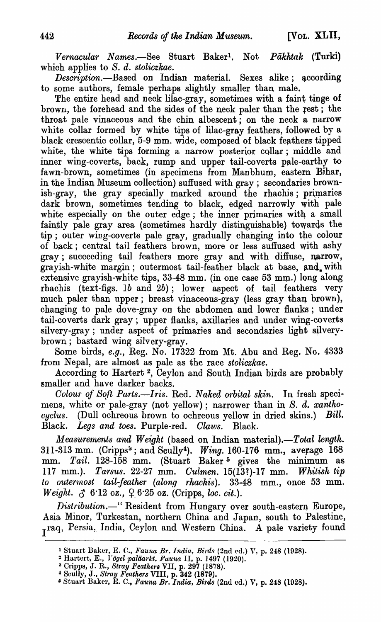*Vernacular Names.-See* Stuart Baker1, Not *Pakktak* (Turki) which applies to S. d. *stoliczkae.* 

*Description.*-Based on Indian material. Sexes alike; according to some authors, female perhaps slightly smaller than male.

The entire head and neck lilac-gray, sometimes with a faint tinge of brown, the forehead and the sides of the neck paler than the rest; the throat pale vinaceous and the chin albescent; on the neck  $\alpha$  narrow white collar formed by white tips of lilac-gray feathers, followed by a black crescentic collar, 5-9 mm. wide, composed of black feathers tipped white, the white tips forming a narrow posterior collar; middle and inner wing-coverts, back, rump and upper tail-coverts pale-earthy to fawn-brown, sometimes (in specimens from Manbhum, eastern Bihar, in the Indian Museum collection) suffused with gray; secondaries brownish-gray, the gray specially marked around the rhachis; primaries dark brown, sometimes tending to black, edged narrowly with pale white especially on the outer edge; the inner primaries with a small faintly pale gray area (sometimes hardly distinguishable) towards the tip; outer wing-coverts pale gray, gradually changing into the colour of back; central tail feathers brown, more or less suffused with ashy gray; succeeding tail feathers more gray and with diffuse, narrow, grayish-white margin; outermost tail-feather black at base, and with extensive grayish-white tips, 33-48 mm. (in one case 53 mm.) long along rhachis (text-figs. 1b and 2b); lower aspect of tail feathers very much paler than upper; breast vinaceous-gray (less gray than brown), changing to pale dove-gray on the abdomen and lower flanks; under tail-coverts dark gray; upper flanks, axillaries and under wing-coverts silvery-gray; under aspect of primaries and secondaries light silverybrown; bastard wing silvery-gray.

Some birds, *e.g.,* Reg. No. 17322 from Mt. Abu and Reg. No. 4333 from Nepal, are almost as pale as the race *stoliczkae.* 

According to Hartert 2, Ceylon and South Indian birds are probably smaller and have darker backs.

Colour of Soft Parts.--Iris. Red. *Naked orbital skin*. In fresh specimens, white or pale-gray (not yellow); narrower than in *S. d. xantho*cyclus. (Dull ochreous brown to ochreous yellow in dried skins.) Bill. Black. *Legs and toes.* Purple-red. *Claws.* Black.

*Measurements and Weight* (based on Indian material).-Total length. 311-313 mm. (Cripps<sup>3</sup>; and Scully<sup>4</sup>). *Wing.* 160-176 mm., average 168 mm. *Tail.* 128-158 mm. (Stuart Baker<sup>5</sup> gives the minimum as 117 mm.). *Tarsus.* 22-27 mm. *Oulmen.* 15(131)-17 mm. *Whitish tip to outernost tail-feather (along rhachis).* 33-48 mm., once 53 mm. *Weight.*  $\delta$  6.12 oz.,  $\varphi$  6.25 oz. (Cripps, *loc. cit.*).

*Distribution.-"* Resident from Hungary over south-eastern Europe, Asia Minor, Turkestan, northern China and Japan, south to Palestine, Iraq, Persia, India, Ceylon and Western China. A pale variety found

<sup>1</sup> Stuart. Baker, E. C., *Fauna Br, India, Birds* (2nd cd.) V, p. 248 (1928).

<sup>2</sup>Hartert, E., *}'ogel paliiarkt. Fauna* II, p. 1497 (1920).

 $^3$  Cripps, J. R., *Stray Feathers VII*, p. 297 (1878).

<sup>4</sup> Scully, J., *Stray Feathera* VIII, p. 342 (1879).

<sup>&</sup>lt;sup>5</sup> Stuart Baker, E. C., *Fauna Br. India, Birds* (2nd ed.) V, p. 248 (1928).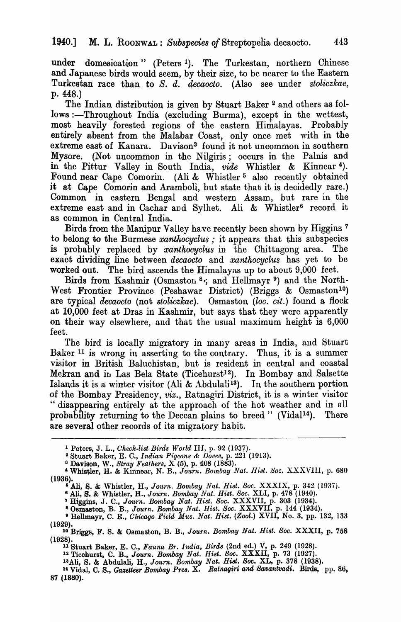under domesication" (Peters I). The Turkestan, northern Chinese and Japanese birds would seem, by their size, to be nearer to the Eastern Turkestan race than to *S. d. decaocto.* (Also see under *stoliczkae,*  p. 448.)

The Indian distribution is given by Stuart Baker<sup>2</sup> and others as follows :—Throughout India (excluding Burma), except in the wettest, most heavily forested regions of the eastern Himalayas. Probably entirely absent from the Malabar Coast, only once met with in the extreme east of Kanara. Davison<sup>3</sup> found it not uncommon in southern Mysore. (Not uncommon in the Nilgiris; occurs in the Palnis and in the Pittur Valley in South India, *vide* Whistler & Kinnear<sup>4</sup>). Found near Cape Comorin. (Ali & Whistler<sup>5</sup> also recently obtained it at Cape Comorin and Aramboli, but state that it is decidedly rare.) Common in eastern Bengal and western Assam, but rare in the extreme east and in Cachar and Sylhet. Ali & Whistler<sup>6</sup> record it as common in Central India.

Birds from the Manipur Valley have recently been shown by Higgins 7 to belong to the Burmese xanthocyclus ; it appears that this subspecies is probably replaced by *xanthocyclus* in the Chittagong area. The exact dividing line between *decaocto* and *xanthocyclus* has yet to be worked out. The bird ascends the Himalayas up to about 9,000 feet.

Birds from Kashmir (Osmaston  $8$ , and Hellmayr  $9$ ) and the North-West Frontier Province (Peshawar District) (Briggs & Osmaston<sup>10</sup>) are typical *decaocto* (not *stoliczkae).* Osmaston *(loc. cit.)* found a flock at 10,000 feet at Dras in Kashmir, but says that they were apparently on their way elsewhere, and that the usual maximum height is 6,000 feet.

The bird is locally migratory in many areas in India, and Stuart Baker  $11$  is wrong in asserting to the contrary. Thus, it is a summer visitor in British Baluchistan, but is resident in central and coastal Mekran and iu Las Bela State (Ticehurst12). In Bombay and Salsette Islands it is a winter visitor (Ali & Abdulali<sup>13</sup>). In the southern portion of the Bombay Presidency, *viz.,* Ratnagiri District, it is a winter visitor " disappearing entirely at the approach of the hot weather and in all probability returning to the Deccan plains to breed " (Vidal<sup>14</sup>). There are several other records of its migratory habit.

<sup>2</sup> Stuart Baker, E. C., *Indian Pigeons & Doves*, p. 221 (1913).

12 Ticehurst, C. B., *J ourn. Bombay Nat. H ist. Soc.* XXXII, p. 73 (1927).

<sup>1</sup>Peters, J. L., *Check-list Birds World* Ill, p. 92 (1937).

<sup>&</sup>lt;sup>3</sup> Davison, W., *Stray Feathers*, X (5), p. 408 (1883).

<sup>&</sup>quot;Whistler, H. & Kinnear, N. B., *Journ. Bombay Nat. IJisl. 8oc.* XXXVIII, p. 680 (1936).

<sup>&</sup>lt;sup>6</sup> Ali, S. & Whistler, H., *Journ. Bombay Nat. Hist. Soc. XXXIX*, p. 342 (1937).

<sup>6</sup> Ali, S. & Whistler, H., *Journ. Bombay Nat. Hist. Soc.* XLI, p. 478 (1940).

<sup>7</sup> Higgjus, J. C., *Journ. Bombay Nat. Hist. Soc.* XXXVII, p. 303 (1934).

<sup>80</sup>sma.ston, B. B., *Journ. Bombay Nat. Hist. Soc.* XXXVII, p. 144 (1934). 9 Hellmayr, C. E., *Ohicago Field Mus. Nat. Hist. (Zool.)* XVII, No.3, pp. 132, 133

<sup>(1929).</sup> 

<sup>10</sup> Briggs, F. S. & Osmaston, B. B., *Journ. Bombay Nat. Bist. Soc.* XXXII, p. 758 (1928).

<sup>11</sup>Stuart Baker, E. C., *Fauna Br. India, Birds* (2nd ed.) V, p. 249 (1928).

<sup>13</sup>All, S. & Abdulali, H., *Journ. Bombay Nat. BiBt. Soc.* XL, p. 378 (1938).

<sup>&</sup>lt;sup>14</sup> Vidal, C. S., Gazetteer *Bombay Pres.* X. Ratnagiri and Savantvadi. Birds, pp. 86, 87 (1880).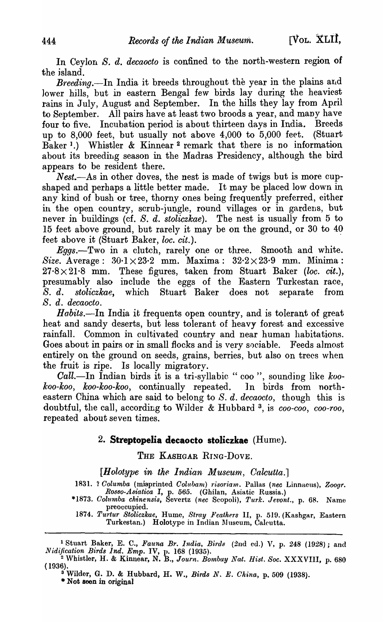In Cevlon *S. d. decaocto* is confined to the north-western region of the island.

*Breeding.*-In India it breeds throughout the year in the plains and lower hills, but in eastern Bengal few birds lay during the heaviest rains in July, August and September. In the hills they lay from April to September. All pairs have at least two broods a year, and many have four to five. Incubation period is about thirteen days in India. Breeds up to 8,000 feet, but usually not above 4,000 to 5,000 feet. (Stuart Baker 1.) Whistler & Kinnear 2 remark that there is no information about its breeding season in the Madras Presidency, although the bird appears to be resident there.

*Nest.*—As in other doves, the nest is made of twigs but is more cupshaped and perhaps a little better made. It may be placed low down in any kind of bush or tree, thorny ones being frequently preferred, either in the open country, scrub-jungle, round villages or in gardens, but never in buildings (cf. *S. d. stoliczkae).* The nest is usually from 5 to 15 feet above ground, but rarely it may be on the ground, or 30 to 40 feet above it (Stuart Baker, *loe. cit.).* 

*Eggs.-Two* in a clutch, rarely one or three. Smooth and white. *Size.* Average:  $30.1 \times 23.2$  mm. Maxima:  $32.2 \times 23.9$  mm. Minima:  $27.8 \times 21.8$  mm. These figures, taken from Stuart Baker *(loc. cit.)*, presumably also include the eggs of the Eastern Turkestan race, S. d. *stoliczkae,* which Stuart Baker does not separate from S. d. *decaocto.* 

*Habits.*—In India it frequents open country, and is tolerant of great heat and sandy deserts, but less tolerant of heavy forest and excessive rainfall. Common in cultivated country and near human habitations. Goes about in pairs or in small flocks and is very sociable. Feeds almost entirely on the ground on seeds, grains, berries, but also on trees when the fruit is ripe. Is locally migratory.

*Call.-In* Indian birds it is a tri-syllabic " coo", sounding like *kookoo-koo, koo-koo-koo,* continually repeated. ]n birds from northeastern China which are said to belong to S. d. decaocto, though this is doubtful, the call, according to Wilder &. Hubbard 3, is *coo-coo, coo-roo,*  repeated about seven times.

# 2. **Streptopelia decaocto stoliczkae** (Hume).

THE KASHGAR RING-DOVE.

[*Holotype in the Indian Museum, Calcutta.*]

1831. ? *Oolumba* (misprinted *Oolubarn) 1·isoriam.* Pallas *(nee* Linnaeus), *Zoogr. Rosso-Asiatica* I, p. 565. (Ghilan, Asiatic Russia.)

*\*1873. Oolumba ehinensis,* Severtz *(nee* Scopoli), *Turk. Jevont.,* p. 68. Nalne preoccupied. *1874. Turtur Stoliezkae,* Hume, *Stray Feathers* II, p. 519. (Kashgar, Eastern

Turkestan.) Holotype in Indian Museum, Calcutta.

<sup>1</sup>Stuart Baker, E. C., *Fauna Br. India, Birds* (2nd cd.) V, p. 248 (1928); and *Nidification Birds Ind. Emp.* IV, p. 168 (1935).

3 Wilder, G. D. & Hubbard, H. W., *Birds N. E. Ohina,* p.509 (1938). \* Not seen in original

<sup>2</sup>Whistler, H. & Kinnear, N. B., *Journ. Bombay Nat. Hist. Soc.* XXXVIII, p.680  $(1936)$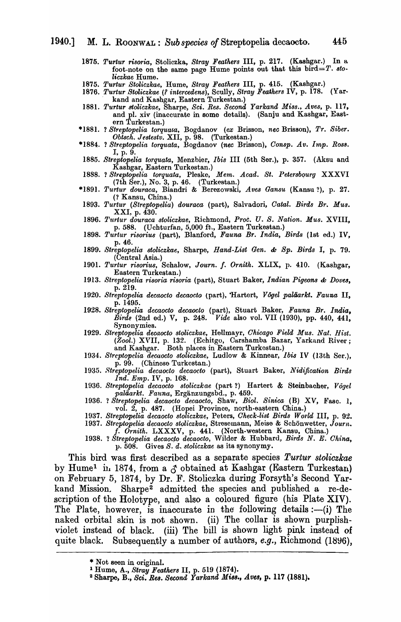- *1875. Turtur risoria,* Stoliczka, *Stray Feathers* III, p. 217. (Kashgar.) In a foot-note on the same page Hume points out that this bird=T.  $sto$ *liczkae* Hume.
- *1875. Turtur Stoliczkae,* Hume, *Stray Feathers* III, p. 415. (Kashgar.)
- 1876. *Turtur Stoliczkae (? intercedens*), Scully, *Stray Feathers* IV, p. 178. (Yar-. kand and Kashgar, Eastern Turkestan.)
- *1881. Turtur stoliczkae,* Sharpe, *Sci. Res. Second Yarkand Miss., Aves,* p. 117, and pI. xiv (inaccurate in some details). (Sanju and Kashgar, Eastern Turkestan.)
- \*1881. ? Streptopelia toryuata, Bogdanov (ex Brisson, nec Brisson), Tr. Siber. *ObtBch. J estestv.* XII, p. 98. (Turkestan.)
- \*1884. ? *Streptopelia torquata,* Bogdanov *(nee* Brisson), *Consp. Av. Imp. Ros8.*  I, p. 9.
- *1885. Streptope1ia torquata,* Menzbier, *Ibis* III (5th Ser.), p. 357. (Aksu and Kashgar, Eastern Turkestan.)
- 1888. 1 *Strt,ptopelia torquata,* Pleske, *Mem. Acad. St. Petersbqurg* XXXVI  $(7th \text{ Ser.}), \text{No. } 3, \text{ p. } 46. \text{ (Turkestan.)}$
- *\*1891. Turtur douraca,* Biandri & BerfY~owski, *Aves Gansu* (Kansu ?), p. 27. (1 Kansu, China.)
- 1893. Turtur (Streptopelia) douraca (part), Salvadori, Catal. Birds Br. Mus. XXI, p. 430.
- 1896. *Turtur douraca stoliczkae*, Richmond, Proc. U. S. Nation. Mus. XVIII, p. 588. (Uchturfan, 5,000 ft., Eastern Turkestan.)
- *1898. Turtur risorius* (part), Blanford, *Fauna Br. India, Birds* (1st ed.) IV, p.46.
- *1899. Streptopelia, stoliczkae,* Sharpe, *Hand-List Gen.* ch *Spa Birds* I, p. 79. (Central Asia.)
- *1901. Turtur risorius,* Schalow, *Journ.* f. *Ornith.* XLIX, p. 410. (Kashgar, Eastern Turkestan.)
- *1913. Streptopelia risoria risoria* (part), Stuart Baker, *Indian Pigeons* ch *Dove8,*  p.219.
- 1920. Streptopelia decaocto decaocto (part), 'Hartert, *Vogel paläarkt. Fauna* II, p. 1495.
- *1928. Btreptopelia decaocto decaocto* (part), Stuart Baker, *Fauna Br. India, Birde* (2nd ed.) V, p. 248. *Vide* also vol. VII (1930), pp. 440, 441, Synonymies.
- *1929. Streptopelia decaocto stoliczkae,* Hellmayr, *Chicago Field Mus. Nat. Hist.*  (Zool.) XVII, p. 132. (Echitgo, Carshamba Bazar, Yarkand River; and Kashgar. Both places in Eastern Turkestan.)
- *1934. Streptopelia decaocto stoliczkae,* Ludlow & Kinnear, *Ibis* IV (13th Ser.), p. 99. (Chinese Turkestan.)
- *1935. Streptopelia decaocto decaocto* (part), Stuart Baker, *Nidification Birds Ind. Emp.* IV, p. 168.
- *1936. Streptopelia decaocto stoliczkae* (part 1) Hartert & Steinbacher, *Vogel paliiarkt. Fauna,* Erganzungsbd., p. 459.
- 1936. ? *Streptopelia decaocto decaocto*, Shaw, *Biol. Sinica* (B) XV, Fasc. 1, vol. 2, p. 487. (Hopei Province, north-eastern China.)
- *1937. Streptopelia decaocto stoliczkae,* Peters, *Oheck-list Birds W ol'ld* III, p. 92.
- *1937. Streptopelia decaocto stoliczkae,* Stresemann, Meise & Schonwetter, *Journ.*  f. *Ornith.* LXXXV, p. 441. (North-western Kansu, China.)
- 1938. ? *Streptopelia decaoc,to decaocto,* Wilder & Hubbard, *Birds* N. E. *China,*  p. 508. Gives *S.* d. *stoliczkae* as its synonymy.

This bird was first described as a separate species *Turtur stoliczkae*  by Hume<sup>1</sup> in 1874, from a  $\delta$  obtained at Kashgar (Eastern Turkestan) on February 5, 1874, by Dr. F. Stoliczka during Forsyth's Second Yarkand Mission. Sharpe<sup>2</sup> admitted the species and published a re-description of the Holotype, and also a coloured figure (his Plate XIV). The Plate, however, is inaccurate in the following details  $:-(i)$  The naked orbital skin is not shown. (ii) The collar is shown purplishviolet instead of black. (iii) The bill is shown light pink instead of quite black. Subsequently a number of authors, *e.g.*, Richmond (1896),

<sup>\*</sup> Not seen in original.

<sup>1</sup>Hume, A., *Stray Feathers* II, p. 519 (1874).

<sup>&</sup>lt;sup>2</sup> Sharpe, B., Sci. Res. Second *Yarkand Miss.*, Aves, p. 117 (1881).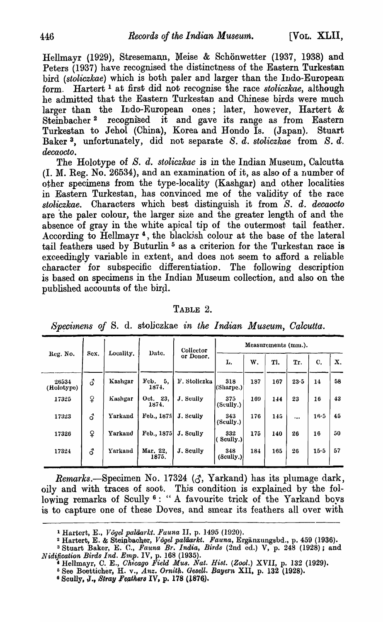Hellmayr (1929), Stresemann, Meise & Schönwetter (1937, 1938) and Peters (1937) have recognised the distinctness of the Eastern Turkestan bird *(stoliczkae)* which is both paler and larger than the Indo-European form. Hartert 1 at first did not recognise the race *stoliczkae,* although he admitted that the Eastern Turkestan and Chinese birds were much larger than the Indo-European ones; later, however, Hartert & Steinbacher<sup>2</sup> recognised it and gave its range as from Eastern Turkestan to Jehol (China), Korea and Hondo Is. (Japan). Stuart Baker 3, unfortunately, did not separate *S. d. stoliczkae* from *S. d. decaocto.* 

The Holotype of S. d. *stoliczkae* is in the Indian Museum, Calcutta (I. M. Reg. No. 26534), and an examination of it, as also of a number of other specimens from the type-locality (Kashgar) and other localities in Eastern Turkestan, has convinced me of the validity of the race *sloliczkae.* Characters which best distinguish it from *S. d. decaocto*  are the paler colour, the larger size and the greater length of and the absence of gray in the white apical tip of the outermost tail feather. According to Hellmayr<sup>4</sup>, the blackish colour at the base of the lateral tail feathers used by Buturlin  $5$  as a criterion for the Turkestan race is exceedingly variable in extent, and does not seem to afford a reliable character for subspecific differentiation. The following description is based on specimens in the Indian Museum collection, and also on the published accounts of the bird.

### TABLE 2.

|  |  |  |  | Specimens of S. d. stoliczkae in the Indian Museum, Calcutta. |  |  |  |  |  |
|--|--|--|--|---------------------------------------------------------------|--|--|--|--|--|
|--|--|--|--|---------------------------------------------------------------|--|--|--|--|--|

|                     |                | Locality. | Date.              | Collector    | Measurements (mm.). |     |     |           |      |    |  |  |
|---------------------|----------------|-----------|--------------------|--------------|---------------------|-----|-----|-----------|------|----|--|--|
| Reg. No.            | Sex.           |           |                    | or Donor.    | L.                  | W.  | Tl. | Tr.       | C.   | X. |  |  |
| 26534<br>(Holotype) | $\vec{\delta}$ | Kashgar   | Feb. $5,$<br>1874. | F. Stoliczka | 318<br>(Sharpe.)    | 187 | 167 | 23.5      | 14   | 58 |  |  |
| 17325               | ♀              | Kashgar   | Oct. 23.<br>1874.  | J. Scully    | 375<br>(Scully.)    | 169 | 144 | 23        | 16   | 43 |  |  |
| 17323               | <u>ි</u>       | Yarkand   | Feb., 1875         | J. Scully    | 343<br>(Scully.)    | 176 | 145 | $\ddotsc$ | 16.5 | 45 |  |  |
| 17326               | ¥              | Yarkand   | Feb., 1875         | J. Scully    | 332<br>Scully.)     | 175 | 140 | 26        | 16   | 50 |  |  |
| 17324               | 3              | Yarkand   | Mar. 22,<br>1875.  | J. Scully    | 348<br>(Sculus.)    | 184 | 165 | 26        | 15.5 | 57 |  |  |

Remarks.-Specimen No. 17324 ( $\zeta$ , Yarkand) has its plumage dark, oily and with traces of soot. This condition is explained by the following remarks of Scully 6: "A favourite trick of the Yarkand boys is to capture one of these Doves, and smear its feathers all over with

<sup>&</sup>lt;sup>1</sup> Hartert, E., *Vogel paläarkt. Fauna* II, p. 1495 (1920).

<sup>2</sup> Hartert, E. ~ Steip bacher, *Vogel paliiarkt. Fauna,* Erganzungsbd., p. 459 (1936).

<sup>&</sup>lt;sup>3</sup> Stuart Baker, E. C., Fauna Br. India, Birds (2nd ed.) V, p. 248 (1928); and *Nidification Birds Ind. Emp.* IV, p. 168 (1935).

<sup>&#</sup>x27;Hellmayr, C. E., *Ohf:cago Field MU8. Nat. Hist. (Zool.)* XVII, p. 132 (1929).

<sup>&</sup>lt;sup>5</sup> See Boetticher, H. v., *Anz. Ornith. Gesell. Bayern* XII, p. 132 (1928).

 $^6$  Scully, J., Stray Feathers IV, p. 178 (1876).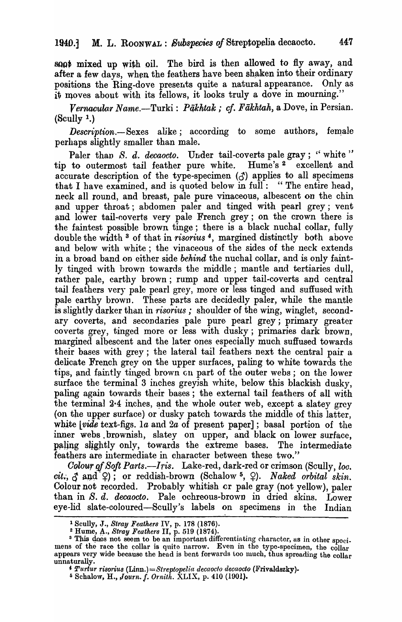soot mixed up with oil. The bird is then allowed to fly away, and after a few days, when the feathers have been shaken into their ordinary positions the Ring-dove presents quite a natural appearance. Only as it moves about with its fellows, it looks truly a dove in mourning."

*Vernacular Name.*—Turki: *Pākhtak; cf. Fākhtah, a Dove, in Persian.*  $(Scully 1.)$ 

*Description.*-Sexes alike; according to some authors, female perhaps slightly smaller than male.

Paler than *S. d. decaocto*. Under tail-coverts pale gray; "white" tip to outermost tail feather pure white. Hume's 2 excellent and accurate description of the type-specimen ( $\zeta$ ) applies to all specimens that I have examined, and is quoted below in full: "The entire head, neck all round, and breast, pale pure vinaceous, albescent on the chin and upper throat; abdomen paler and tinged with pearl grey; vent and lower tail-coverts very pale French grey; on the crown there is the faintest possible brown tinge; there is a black nuchal collar, fully double the width 3 of that in *risorius* 4, margined distinctly both above and below with white; the vinaceous of the sides of the neck extends in a broad band on either side *behind* the nuchal collar, and is only faintly tinged with brown towards the middle; mantle and tertiaries dull, rather pale, earthy brown; rump and upper tail-coverts and central tail feathers very pale pearl grey, more or less tinged and suffused with pale earthy brown. These parts are decidedly paler, while the mantle is slightly darker than in *risorius*; shoulder of the wing, winglet, secondary coverts, and secondaries pale pure pearl grey; primary greater coverts grey, tinged more or less with dusky; primaries dark brown, margined albescent and the later ones especially much suffused towards their bases with grey; the lateral tail feathers next the central pair a delicate French grey on the upper surfaces, paling to white towards the tips, and faintly tinged brown on part of the outer webs; on the lower surface the terminal  $3$  inches grey ish white, below this blackish dusky, paling again towards their bases; the external tail feathers of all with the terminal  $2.4$  inches, and the whole outer web, except a slatey grey (on the upper surface) or dusky patch towards the middle of this latter, white *vide* text-figs. la and 2a of present paper]; basal portion of the inner webs. brownish, slatey on upper, and black on lower surface, paling slightly only, towards the extreme bases. The intermediate feathers are intermediate in character between these two."

*Golour of Soft Parts.*-*Iris.* Lake-red, dark-red or crimson (Scully, *loc.*)  $cit., \mathcal{J}$  and  $\varphi$ ); or reddish-brown (Schalow <sup>5</sup>,  $\varphi$ ). *Naked orbital skin.* Colour not recorded. Probably whitish cr pale gray (not yellow), paler than in S. d. decaocto. Pale ochreous-brown in dried skins. Lower eye-lid slate-coloured-Scully's labels on specimens in the Indian

<sup>1</sup> Scully, J., *Stray Feathers* IV, p. 178 (1876).

 $2$  Hume, A., *Stray Feathers II*, p. 519 (1874).

<sup>&</sup>lt;sup>3</sup> This does not seem to be an important differentiating character, as in other specimens of the race the collar is quite narrow. Even in the type-specimen, the collar appears very wide because the head is bent forwards too much, thus spreading the  $\overline{\text{coll}}_{\text{ar}}$ unnaturally.<br>*4 Turtur risorius* (Linn.)=Streptopelia decaocto decaocto (Frivaldszky).

<sup>5</sup> Schalow, H., *Jou.rn.* /. *Orn'ith.* XLIX, p. 410 (1901).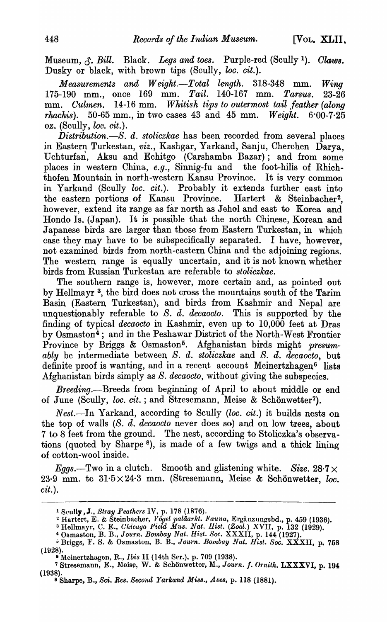Museum,  $\triangle$ , Bill. Black. *Legs and toes.* Purple-red (Scully <sup>1</sup>). *Claws.* Dusky or black, with brown tips (Scully, *loc. cit.*).

*Measurements and Weight.-Total length.* 318-348 mm. *Wing*  175-190 mm., once 169 mm. *Tail.* 140-167 mm. *Tarsus. 23-26*  mm. *Culmen.* 14-16 mm. *Whitish tips to outermost tail feather (along rhachis*).  $50-65$  mm., in two cases 43 and 45 mm. *Weight.*  $6.00-7.25$ oz. (Scully, *loc. cit.*).

*Distribution.-S. d. stoliczkae* has been recorded from several places in Eastern Turkestan, *viz.,* Kashgar, Yarkand, Sanju, Cherchen Darya, Uchturfan, Aksu and Echitgo (Carshamba Bazar); and from some places in western China, *e.g.,* Sinnig-fu and the foot-hills of Rhichthofen Mountain in north-western Kansu Province. It is very common in Yarkand (Scully *loc. cit.*). Probably it extends further east into the eastern portions of Kansu Province. Hartert & Steinbacher<sup>2</sup>. however, extend its range as far north as Jehol and east to Korea and Hondo Is. (Japan). It is possible that the north Chinese, Korean and Japanese birds are larger than those from Eastern Turkestan, in which case they may have to be subspecifically separated. I have, however, not examined birds from north-eastern China and the adjoining regions. The western range is equally uncertain, and it is not known whether birds from Russian Turkestan are referable to *sloliczkae.* 

The southern range is, however, more certain and, as pointed out by Hellmayr 3, the bird does not cross the mountains south of the Tarim Basin (Eastern Turkestan), and birds from Kashmir and Nepal are unquestionably referable to S. d. decaocto. This is supported by the finding of typical *decaocto* in Kashmir, even up to 10,000 feet at Dras by Osmaston<sup>4</sup>; and in the Peshawar District of the North-West Frontier Province by Briggs & Osmaston<sup>5</sup>. Afghanistan birds might *presumably* be intermediate between *S. d. stoliczkae* and S. d. *decaocto,* but definite proof is wanting, and in a recent account Meinertzhagen<sup>6</sup> lists Afghanistan birds simply as *S. decaocto,* without giving the subspecies.

*Breeding.*--Breeds from beginning of April to about middle or end of June (Scully, *loc. cit.*; and Stresemann, Meise & Schönwetter<sup>7</sup>).

Nest.-In Yarkand, according to Scully *(loc. cit.)* it builds nests on the top of walls (S. *d. decaocto* never does so) and on low trees, about 7 to 8 feet from the ground. The nest, according to Stoliczka's observations (quoted by Sharpe 8), is made of a few twigs and a thick lining of cotton-wool inside.

*Eggs.*-Two in a clutch. Smooth and glistening white. *Size.* 28.7  $\times$ 23.9 mm. to  $31.5 \times 24.3$  mm. (Stresemann, Meise & Schönwetter, *loc. cit.* ).

<sup>1</sup> Scully ,J., *Stray Feathers* IV, p. 178 (1876).

<sup>&</sup>lt;sup>2</sup> Hartert, E. & Steinbacher, *Vögel paläarkt. Fauna*, Ergänzungsbd., p. 459 (1936).

<sup>&</sup>lt;sup>3</sup> Hellmayr, C. E., *Chicago Field Mus. Nat. Hist. (Zool.*) XVII, p. 132 (1929).<br><sup>4</sup> Osmaston, B. B., Journ. *Bombay Nat. Hist. Soc.* XXXII, p. 144 (1927).

o Briggs, F. S. & Osmaston, B. B., *Journ. Bombay Nat. Hist. Soc.* XXXII, p. 758 (1928). • Meinertzhagen, R., *Ibis* II (14th Ser.), p. 709 (1938).

<sup>&</sup>lt;sup>7</sup> Stresemann, E., Meise, W. & Schönwetter, M., *Journ. f. Ornith.* LXXXVI, p. 194 (1938). 8 Sharpe, B., *Sci. Res. Second Yarkand Miss., Aves,* p. 118 (1881).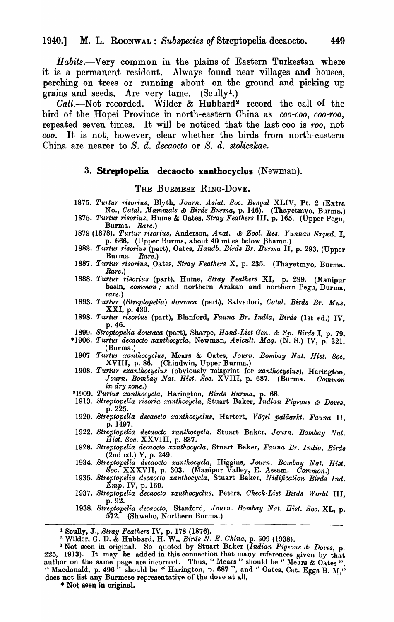*Habits.-Very* common in the plains of Eastern Turkestan where it is a permanent resident. Always found near villages and houses, perching on trees or running about on the ground and picking up grains and seeds. Are very tame. (Scully!.)

Call.-Not recorded. Wilder & Hubbard<sup>2</sup> record the call of the bird of the Hopei Province in north-eastern China as *coo-coo, coo-roo*, repeated seven times. It will be noticed that the last coo is *roo,* not *coo.* It is not, however, clear whether the birds from north-eastern China are nearer to *S. d. decaocto* or *S. d. stoliczkae.* 

## 3. **Streptopelia decaocto xanthocyclus** (Newman).

### THE BURMESE RING-DoVE.

- *1875. Turtur ri8orius,* Blyth, *JO'ltrn. Asiat. Soc. Bengal* XLIV, Pt. 2 (Extra No., *Catal. Mammals & Birds Burma*, p. 146). (Thayetmyo, Burma.)
- *1875. Turtur risorius,* Hume & Oates, *Stray Feather8* III, p. 165. (Upper Pegu, Burma. *Rare.)*
- 1879 (1878). *Turtur risorius*, Anderson, Anat. & Zool. Res. Yunnan Exped. I, p. 666. (Upper Burma, about 40 miles below Bhamo.)
- *1883. Turtur risorius* (part), Oates, *Handb. Birds Br. Burma* II, p. 293. (Upper Burma. *Rare.)*
- *1887. Turtur risoriu8,* Oates, *Stray Feathers* X, p. 235. (Thayetmyo, Burma. *Rare.) .*
- *1888. Turtur risori'lts* (part), Hume, *Stray Feathers* XI, p. 299. (Manipur basin, *common*; and northern Arakan and northern Pegu, Burma, *rare.)*
- 1893. Turtur (Streptopelia) douraca (part), Salvadori, Catal. Birds Br. Mus. XXI, p. 430.
- *1898. Turtur risorius* (part), Blanford, *Fauna Br. India, Birds* (1st ed.) IV, p.46.
- 1899. Streptopelia douraca (part), Sharpe, *Hand-List Gen. & Sp. Birds I*, p. 79.
- *\*1906. Turtur decaocto xanthocycla,* Newman, *Avicult. Mag.* (N. S.) IV, p. 321. (Burma.)
- *1907. Turtur xanthocyclus,* Mears & Oates, *Journ. Bombay Nat. Hist. Soc.*  XVIII, p.86. (Chindwin, Upper Burma.)
- *1908. Turtur exanthocyclus* (obviously 'misprint for *xanthocyclus)*, Harington, *Journ. Bombay Nat. Hist. Soc.* XVIII, p. 687. (Burma. *Common in dry zone.)*
- *21909. Turtur xanthocycla,* Harington, *Birds Burma,* p. 68.
- *1913. St-reptopelia risoria xanthocycla,* Stuart Baker, *Indian Pigeons* &: *Doves,*  p.225.
- 1920. Streptopelia decaocto xanthocyclus, Hartert, Vögel paläarkt. Fauna II, p. 1497.
- *1922. Streptopelia decaocto xanthocycla,* Stuart Baker, *Journ. Bombay Nat. Hist. Soc.* XXVIII, p. 837.
- *1928. Streptopelia decaocto xanthocycla,* Stuart Baker, *Fauna. Br. India, Birds*  (2nd ed.) V, p. 249.
- 1934. Streptopelia decaocto xanthocycla, Higgins, Journ. Bombay Nat. Hist. *Soc.* XXXVII, p. 303. (Manipur Valley, E. Assam. *Common.)*
- 1935. Streptopelia decaocto xanthocycla, Stuart Baker, Nidification Birds Ind. *Emp.* IV, p. 169.
- 1937. Streptopelia decaocto xanthocyclus, Peters, *Check-List Birds World III*, p. 92.
- p.92. . *1938. Streptopelia decaocto,* Stanford, *Journ. Bombay Nat. Hi8t. Soc.* XL, p. 572. (Shwebo, Northern Burma.)

1 Scully, J., *Stray Feathers* IV, p. 178 (1876).

<sup>2</sup>Wilder, G. D. & Hubbard, H. W., *Birds N. E. China,* p. 509 (1938).

<sup>3</sup> Not seen in original. So quoted by Stuart Baker (Indian Pigeons & Doves, p.  $225, 1913$ . It may be added in this connection that many references given by that author on the same page are incorrect. Thus, "Mears" should be "Mears  $\&$  Oates". " Macdonald, p. 496<sup> $\dot{\text{m}}$ </sup> should be " Harington, p. 687 ", and " Oates, Cat. Eggs B.  $\text{M}_{1}$ " does not list any Burmese representative of the dove at all,

\* Not seen in original.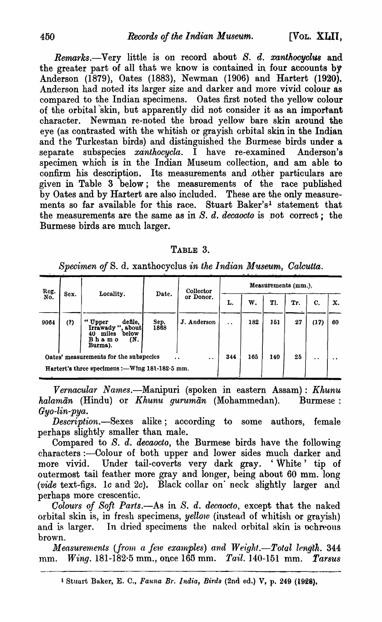*Rernarks.-Very* little is on record about *S. d. xanthooyclus* and the greater part of all that we know is contained in four accounts by Anderson (1879), Oates (1883), Newman (1906) and Hartert (1920). Anderson had noted its larger size and darker and more vivid colour as compared to the Indian specimens. Oates first noted the yellow colour of the orbital 'skin, but apparently did not consider it as an important character. Newman re-noted the broad yellow bare skin around the eye (as contrasted with the whitish or grayish orbital skin in the Indiah and the Turkestan birds) and distinguished the Burmese birds under a separate subspecies *xanthoeyela.* I have re-examined Anderson's specimen which is in the Indian Museum collection, and am able to confirm his description. Its measurements and other particulars are given in Table 3 below; the measurements of the race published by Oates and by Hartert are also included. These are the only measurements so far available for this race. Stuart Baker'sl statement that the measurements are the same as in *S. d. decaocto* is not correct; the Burmese birds are much larger.

| $_{\rm TABLE}$ | - Ə. |
|----------------|------|
|----------------|------|

*Specimen of* s. d. xanthocyclus *in the Indian Museum, Oalcutta.* 

| Reg.<br>No. | Sex. | Locality.                                                                                       | Date.        | Collector<br>or Donor. | Measurements (mm.).  |     |           |                 |      |    |  |  |  |
|-------------|------|-------------------------------------------------------------------------------------------------|--------------|------------------------|----------------------|-----|-----------|-----------------|------|----|--|--|--|
|             |      |                                                                                                 |              |                        | L.                   | W.  | Tl.       | Tr.             | C.   | Х. |  |  |  |
| 9064        | (?)  | defile,<br>"<br>Upper<br>Irrawady "<br>about<br>miles<br>below<br>40<br>Bhamo<br>(N.<br>Burma). | Sep.<br>1868 | J. Anderson            | $\ddot{\phantom{a}}$ | 182 | 151       | 27              | (17) | 60 |  |  |  |
|             |      | Oates' measurements for the subspecies<br>Hartert's three specimens :- Wing 181-182.5 mm.       | 344          | 165                    | 140                  | 25  | $\cdot$ . | $\cdot$ $\cdot$ |      |    |  |  |  |

*Vernacular Names.*—Manipuri (spoken in eastern Assam): *Khunu halaman* (Hindu) or *Khunu guruman* (Mohammedan). Burmese : *Gyo-lin-pya.* 

*Deseription.-Sexes* alike; according to some authors, female perhaps slightly smaller than male.

Compared to S. d. *decaoeto,* the Burmese birds have the following characters :- Colour of both upper and lower sides much darker and more vivid. Under tail-coverts very dark gray. 'White' tip of outermost tail feather more gray and longer, being about 60 mm. long *(vide* text-figs. *Ie* and *2e).* Black collar on· neck slightly larger and perhaps more crescentic.

Colours of Soft Parts.-As in S. d. decaocto, except that the naked orbital skin is, in fresh specimens, *yellow* (instead of whitish or grayish) and is larger. In dried specimens the naked orbital skin is ochreous brown.

*Measurements (from a few examples) and Weight.*-Total length. 344 tnm. *Wing.* 181-182·5 mm., once 165 mm. *Tail.* 140-151 mm. *Tarsus*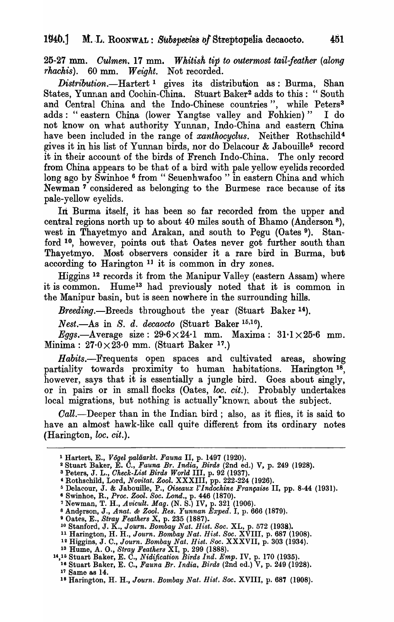25-27 mm. *Culmen.* 17 mm. *Whitish tip to outermost tail-feather (along ·rhachis).* 60 mm. *Weight.* Not recorded.

*Disttribution.-Hartert* 1 gives its distribution as: Burma, Shan States, Yunnan and Cochin-China. Stuart Baker2 adds to this: "South and Central China and the Indo-Chinese countries", while Peters<sup>3</sup> adds: "eastern China (lower Yangtse valley and Fohkien)" I do not know on what authority Yunnan, Indo-China and eastern China have been included in the range of *xanthocyclus*. Neither Rothschild<sup>4</sup> gives it in his list of Yunnan birds, nor do Delacour & Jabouille<sup>5</sup> record it in their account of the birds of French Indo-China. The only record from China appears to be that of a bird with pale yellow eyelids recorded long ago by Swinhoe <sup>6</sup> from "Seuenhwafoo " in eastern China and which Newman 7 considered as belonging to the Burmese race because of its pale-yellow eyelids.

In Burma itself, it has been so far recorded from the upper and central regions north up to about 40 miles south of Bhamo (Anderson 8), west in Thayetmyo and Arakan, and south to Pegu (Oates 9). Stanford <sup>10</sup>, however, points out that Oates never got further south than Thayetmyo. Most observers consider it a rare bird in Burma, but according to Harington 11 it is common in dry zones.

Higgins 12 records it from the Manipur Valley (eastern Assam) where it is common. Hume<sup>13</sup> had previously noted that it is common in the Manipur basin, but is seen nowhere in the surrounding hills.

*Breeding.-Breeds* throughout the year (Stuart Baker 14).

*Nest.-As* in *S. d. decaocto* (Stuart Baker 15,16).

*Eggs.*-Average size:  $29.6 \times 24.1$  mm. Maxima:  $31.1 \times 25.6$  mm. Minima:  $27.0 \times 23.0$  mm. (Stuart Baker 17.)

*Habits.-Frequents* open spaces and cultivated areas, showing partiality towards proximity to human habitations. Harington 18, however, says that it is essentially a jungle bird. Goes about singly, or in pairs or in small flocks (Oates, *loc. cit.*). Probably undertakes local migrations, but nothing is actually·known about the subject.

Call.—Deeper than in the Indian bird; also, as it flies, it is said to have an almost hawk-like call quite different from its ordinary notes  $(Harington, loc. cit.).$ 

<sup>1</sup> Hartert, E., *Vogel paliiarkt. Fauna* II, p. 1497 (1920).

<sup>2</sup>Stuart Baker, E. C., *Fauna Br. India, Bird8* (2nd ed.) V, p. 249 (1928).

<sup>3</sup> Peters, J. L., *Oheck-Li8t Bird8 World* III, p. 92 (1937).

<sup>&</sup>lt;sup>4</sup> Rothschild, Lord, *Novitat. Zool.* XXXIII, pp. 222-224 (1926).

<sup>&</sup>lt;sup>5</sup> Delacour, J. & Jabouille, P., *Oiseaux l'Indochine Française* II, pp. 8-44 (1931).

<sup>8</sup> Swinhoe, R., *Proc. Zooz. Soc. Lond.,* p. 446 (1870). 7 Newman, T. H., *Avicult. Mag.* (N. S.) IV, p. 321 (1906).

<sup>8</sup>And~rson, J., *Anat.* & *Zool. Re8. Yunnan Exped.* I, p. 666 (1879).

<sup>&</sup>lt;sup>9</sup> Oates, E., *Stray Feathers* X, p. 235 (1887). <sup>-</sup><br><sup>10</sup> Stanford, J. K., *Journ. Bombay Nat. Hist. Soc.* XL, p. 572 (1938).

<sup>11</sup> Harington, H. H., *Journ. Bombay Nat. Hist. Soc.* XVIII, p. 687 (1908).

<sup>12</sup> Higgins, J. C., *Journ. Bombay Nat. Hlst. Boc.* XXXVII, p. 303 (1934).

<sup>13</sup> Hume, A. 0., *Stray Feather8* XI, p. 299 (1888).

<sup>14,15</sup> Stuart Baker, E. C., *Nidijication Birds Ind. Emp.* IV, p. 170 (1935).

<sup>18</sup> Stuart Baker, E. C., *Fauna Br. India, Birds* (2nd ed.) V, p. 249 (1928). 17 Same as 14.

<sup>18</sup> Harington, H. H., *Journ. Bombay Nat. Hist. Soc.* XVIII, p. 681 (1908).